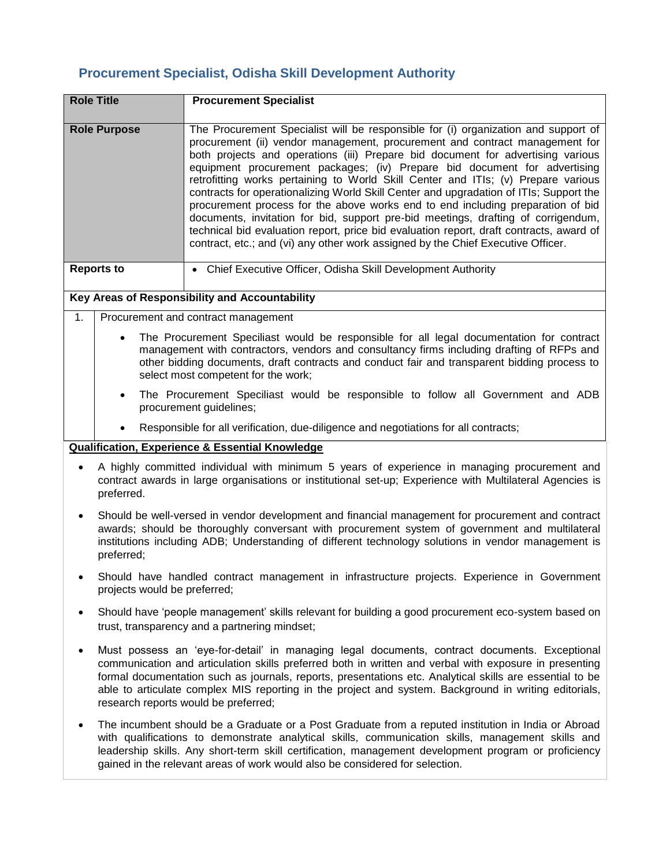## **Procurement Specialist, Odisha Skill Development Authority**

| <b>Role Title</b>                              | <b>Procurement Specialist</b>                                                                                                                                                                                                                                                                                                                                                                                                                                                                                                                                                                                                                                                                                                                                                                                                                                           |  |
|------------------------------------------------|-------------------------------------------------------------------------------------------------------------------------------------------------------------------------------------------------------------------------------------------------------------------------------------------------------------------------------------------------------------------------------------------------------------------------------------------------------------------------------------------------------------------------------------------------------------------------------------------------------------------------------------------------------------------------------------------------------------------------------------------------------------------------------------------------------------------------------------------------------------------------|--|
| <b>Role Purpose</b>                            | The Procurement Specialist will be responsible for (i) organization and support of<br>procurement (ii) vendor management, procurement and contract management for<br>both projects and operations (iii) Prepare bid document for advertising various<br>equipment procurement packages; (iv) Prepare bid document for advertising<br>retrofitting works pertaining to World Skill Center and ITIs; (v) Prepare various<br>contracts for operationalizing World Skill Center and upgradation of ITIs; Support the<br>procurement process for the above works end to end including preparation of bid<br>documents, invitation for bid, support pre-bid meetings, drafting of corrigendum,<br>technical bid evaluation report, price bid evaluation report, draft contracts, award of<br>contract, etc.; and (vi) any other work assigned by the Chief Executive Officer. |  |
| <b>Reports to</b>                              | Chief Executive Officer, Odisha Skill Development Authority                                                                                                                                                                                                                                                                                                                                                                                                                                                                                                                                                                                                                                                                                                                                                                                                             |  |
| Key Areas of Responsibility and Accountability |                                                                                                                                                                                                                                                                                                                                                                                                                                                                                                                                                                                                                                                                                                                                                                                                                                                                         |  |

1. Procurement and contract management

- The Procurement Speciliast would be responsible for all legal documentation for contract management with contractors, vendors and consultancy firms including drafting of RFPs and other bidding documents, draft contracts and conduct fair and transparent bidding process to select most competent for the work;
- The Procurement Speciliast would be responsible to follow all Government and ADB procurement guidelines;
- Responsible for all verification, due-diligence and negotiations for all contracts;

## **Qualification, Experience & Essential Knowledge**

- A highly committed individual with minimum 5 years of experience in managing procurement and contract awards in large organisations or institutional set-up; Experience with Multilateral Agencies is preferred.
- Should be well-versed in vendor development and financial management for procurement and contract awards; should be thoroughly conversant with procurement system of government and multilateral institutions including ADB; Understanding of different technology solutions in vendor management is preferred;
- Should have handled contract management in infrastructure projects. Experience in Government projects would be preferred;
- Should have 'people management' skills relevant for building a good procurement eco-system based on trust, transparency and a partnering mindset;
- Must possess an 'eye-for-detail' in managing legal documents, contract documents. Exceptional communication and articulation skills preferred both in written and verbal with exposure in presenting formal documentation such as journals, reports, presentations etc. Analytical skills are essential to be able to articulate complex MIS reporting in the project and system. Background in writing editorials, research reports would be preferred;
- The incumbent should be a Graduate or a Post Graduate from a reputed institution in India or Abroad with qualifications to demonstrate analytical skills, communication skills, management skills and leadership skills. Any short-term skill certification, management development program or proficiency gained in the relevant areas of work would also be considered for selection.